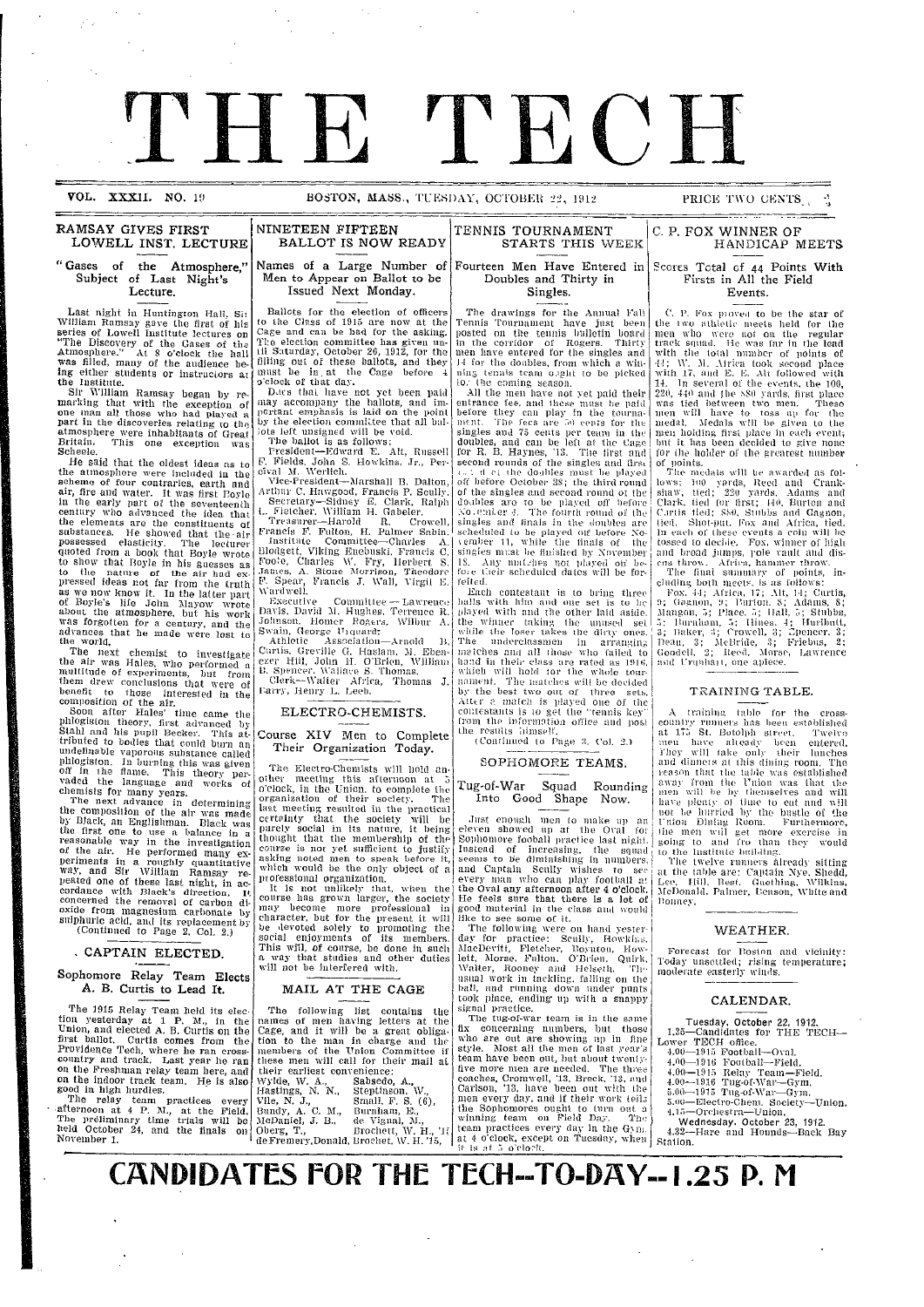# TH R THE FILE

**VOL. XXXII.** NO. 19 **BOSTON, MASS., TUESDAY, OCTOBER 22, 1912 PRICE TWO CENTS.** 

## **RAMSAY GIVES FIRST NINETEEN FIFTEEN TENNIS TOURNAMENT<br>LOWELL INST. LECTURE BALLOT IS NOW READY STARTS THIS WEEK LOWELL INST. LECTURE**

## "Gases of the Atmosphere," **Subject** of Last Night's **Lecture.**

Last night in Huntington Hall, Sim<br>William Ramsay gave the first of his series of Lowell Institute lectures on "The Discovery of the Gases of the Atmosphere." At 8 o'clock the hall was filled, many of the audience being either students or instructors at<br>the Institute. e Institute.<br>e Institute.<br>Sir William Ramsay began by re

Sir William Ramsay began by re- marking that with the exception of one man all those who had played a part in the discoveries relating to the atmosphere were inhabitants of Great Britain. This one exception was Scheele.

He said that the oldest ideas as to<br>the atmosphere were included in the scheme of four contraries, earth and<br>air, fire and water. It was first Boyle<br>in the early part of the seventeenth<br>century who advanced the idea that the elements are the constituents of<br>substances. He showed that the air<br>possessed elasticity. The lecturer quoted from a book that Boyle wrote<br>to show that Boyle in his guesses as<br>to the nature of the air had ex-<br>pressed ideas not far from the truth<br>as we now know it. In the latter part of Boyle's life John SIayow wrote *about* the atmosphere, but his work was forgotten for a century, and the advances that he made were lost to the world.

The next chemist to investigate<br>the air was Hales, who performed a<br>multitude of experiments, but from them drew conclusions that were of benefit to those interested in the composition of the air.

Soon after Hales' time came the<br>phlogiston theory, first advanced by<br>Stahl and his pupil Becker. This attributed to bodies that could burn an undefinable vaporous substance called phlogiston. In burning this was given<br>off in the flame. This theory per-<br>vaded the language and works of

chemists for many years.<br>The next advance in determining<br>the composition of the air was made by Black, an Englishman. Black was the first one to use a balance in a reasonable way in the investigation of the air. He performed many ex-<br>of the air. He performed many ex-<br>periments in a roughly quantitative way, and Sir William Ramsay re-<br>peated one of these last night, in ac-<br>cordance with Black's direction, It<br>concerned the removal of carbon di-<br>oxide from magnesium carbonate by<br>oxide from magnesium carbonate by<br>(Continued

## **CAPTAIN ELECTED.**

## **Sophomore Relay Team Elects A. B.** Curtis to Lead It.

The 1915 Relay Team held its election yesterday at 1 P. M., in the<br>Union, and elected A. B. Curtis on the first ballot. Curtis comes from the Providence Tech, where he ran cross-<br>country and track. Last year he ran<br>on the Freshman relay team here, and<br>on the indoor track team. He is also<br>good in high hurdles.<br>The relay team practices every

afternoon at 4 P. M., at the Field.<br>The preliminary time trials will be<br>held October 24, and the finals on<br>November 1.

**I**

I

## Names of a Large Number of Men to Appear on Ballot to be

Issued Next Monday.

Ballots for the election of officers to the Class of 1915 are now at the<br>Cage and can be had for the asking. Cage and can be had for the asking.<br>The election committee has given un-<br>til Saturday, October 26, 1912, for the filling out of these ballots, and they<br>must be in at the Cage before 4<br>o'clock of that day.<br>Dacs that have not yet been paid I

may accompany the ballots, and im-<br>portant emphasis is laid on the point<br>by the election committee that all bal-<br>lots left unsigned will be void.

The ballot is as follows: President-Edward E. Alt, Russell F'. Fields. John S. Howkins, Jr., Per-cival M. Werlich. Vice-President-Marshall B. Dalton,

Arthur C. Hawgood, Francis P. Scully.<br>Secretary—Sidney E. Clark, Ralph

L. Fletcher, William H. Gabeler.<br>Treasurer—Harold R. Crowell Francis F. Fulton, H. Palmer Sabin.<br>Institute Committee-Charles A. Blodgett, Viking Enebuski, Francis C<br>Foote, Charles W. Fry, Herbert S<br>James, A. Stone Morrison, Theodore F. Spear, Francis J. Wall, Virgil E. \Vardwell.

<sup>F</sup>Executive Committee - Lawrence Davis, David '1. Hughes, Terrence R. Johnson, Homer Rogers, Wilbur A.<br>Swain, George Umquard<del>,</del><br>| Athletic | Association-Arnold | B. Curtis. Greville G. Haslam, M. Eben-<br>ezer Hill, John H. O'Brien, William<br>B. Spencer. Wallace S. Thomas.<br>Clerk--Walter Africa, Thomas J.<br>Farry, Henry L. Leeb.

ELECTRO-CHEMISTS.

## Course XIV Men to Complete Their Organization Today.

The Electro-Chemists will hold another meeting this afternoon at 5<br>o'clock, in the Union. to complete the<br>organization of their society. The<br>last meeting resulted in the practical<br>certainty that the society will be purely social in its nature, it being thought that the membership of the course is not yet sufficient to justify asking noted men to speak before it, which would be the only object of a professional organization.

It is not unlikely that, when the course has grown larger, the society may become more professional in character, but for the present it will be devoted solely to promoting the social enjoyments of its members. This will, of course, be done in such a way that studies and other duties will not be interfered with. I i

## MAIL AT THE CAGE

i

The following list contains the names of men having letters at the Cage, and it will be a great obliga- tion to the man in charge and the members of the Union Committee if these men will call for their mail at their earliest convenience<br>Wylde, W. A., Sabsedc<br>Hastings, N. N., Stepting **Sabsedo, A.,** Steptinson. W.,

Vile, N. J.,<br>Bundy, A. C. M., McDaniel, J. B., Oberg, T., deFremery,Donald, Small, F. S. (6)<br>Burnham, E.,<br>de Vignal, M., Brochett, W. H., 'JI Birocihet, \V. H1. '15, Fourteen Men Have Entered in **Doubles and Thirty in Singles.**

The drawings for the Annual Fal Tennis Tournainent have just been posted on the tennis bulletin board<br>in the corridor of Rogers. Thirty<br>men have entered for the singles and 14 for the doables, from which a winning tennis team o.221it to be picked<br>to. the coming season.<br>All the men have not yet paid their I

entrance fee, and these must be paid before they can play in the tourna-<br>ment. The fees are 5i0 cents per team in the<br>singles and 75 cents per team in the<br>doubles, and can be left at the Cage for R. B. Haynes, '13. The first and<br>second rounds of the singles and first<br> $\psi$ . : d cit the doubles must be played<br>of before October 28; the third round<br>of the singles and second round ot the doables are to be played off before<br>No e:nLer 4. The fourth round of the<br>singles and finals in the doubles are<br>scheduled to be played off before November 11, while the finals of the<br>singles must be finished by November<br>18. Any matches not played off be-<br>fore their scheduled dates will be for-<br>feited.

Each contestant is to bring three<br>balls with him and one set is to be<br>played with and the other laid aside. the winner taking the unused set<br>while the loser takes the dirty ones. The underclassmen in arrangin;<br>matches and all those who failed to hand in their class are rated as 1916<br>which will hold tor the whole tour<br>nament. The matches will be decided<br>by the best two out of three sets. Atter a match is played one of the<br>contestants is to get the "tennis key"<br>from the information office and pos<br>the results himself.

(Continued to Page 2, Col. 2.)

### SOPHOMORE TEAMS.

### Tug-of-War Squad Rounding Into Good Shape Now.

.Jlust eilOtigl inca to mliake **ti 1)** ai eleven showed **ull** at lhe Oval for Sophomore fooball practice last night.<br>Instead of increasing, the squad seems to be diminishing in numbers and Captain Scully wishes to see<br>every man who can play football at the Oval any afternoon after 4 o'clock.<br>He feels sure that there is a lot of<br>good material in the class and would ike to see some of it.<br>The following were on hand yester

day for practice: Scully, Howkins.<br>MacDevitt, Fletcher, Boynton, How-<br>lett, Morse, Fulton, O'Brien, Quirk,<br>Walter, Rooney and Helseth, The-<br>manal work in tackling, falling on the<br>ball, and running down under punts took place, ending up with a snappy<br>signal practice.<br>The tug-of-war team is in the same<br>fix concerning numbers, but those

who are out are showing up in fine<br>style. Most all the men of last year's<br>team have been out, but about twentyfive more men are needed. The three<br>coaches, Cromwell, '13. Breck, '13, and<br>Carlson, '13, have been out with the<br>men every day, and if their work teila the Sophomores ought to turn out a<br>winning team on Field Day. The team practices every day in the Gymi. at 4 o'clock, except on Tuesday, when Station.

C. P. **FOX WINNER OF**

## **HANDICAP MEETS**

#### Scores Total of 44 Points **With Firsts in** All the **Field** Events.

C. P. Fox pioved to be the star of<br>the two athletic meets held for the men who were not on the regular<br>track squad. He was far in the lead with the total number of points of 44; W. M. Airica took second place with 17, and E. E. Alt followed with 14. In several of the events. the 100, 220, 440 and the S80 yards, first place<br>was tied between two men. These men will have to toss up for the<br>medal. Medals will be given to the<br>men holding first place in each event lint it has been decided to give none for ihe holder of the greatest number i

of points. TIhe medals will be awarded as follows; 100 yards, Reed and Crank-<br>shaw, tied; 220 yards. Adams and Clark, tied for first; 140, Burton and<br>Curtis tied; 880, Stubbs and Gagnon,<br>tied. Shot-put, Fox and Africa, tied.<br>In each of these events a coin will be<br>tossed to decide. Fox, winner of high<br>and broad jumps, role vault and  $\overline{\phantom{a}}$ 

cluding both meets, is as follows:<br>- Fox. 44; Africa, 17; Alt, 14; Curtis,<br>9; Gagnon, 9; Purton. 8; Adams, 8; | sugnon, 6; Place. 5; Hall, 5; Stubbs,<br>|angon, 5; Place. 5; Hall, 5; Stubbs,<br>| Burnham, 5; Hines. 4; Hurlbutt, | 3; Baker, 3; Crowell, 3; Spencer, 3;<br>| Dean, 3; McBride, 3; Friebus, 2;<br>| Goodell, 2; Reed. Morse, Lawrence<br>| and Urquhait, one apiece.

### TRAINING TABLE.

A training table for the cross-<br>country runners has been established<br>at 175 St. Botolph street. Twelve<br>men have alteady been entered.<br>They will take only their lunches<br>and dinners at this dining room. The<br>reason that the t away from the Union was that the<br>men will be by themselves and will<br>have plenty of time to eat and will<br>hot be hurried by the bustle of the<br>Union Dining Room. Furthermore,<br>the men will get more exercise in<br>going to and fro

The twelve runners already sitting<br>at the table are: Captain Nye, Shedd<br>Lee. Hill, Best. Guething, Wilkins<br>McDonald. Palmer, Benson, White and<br>Bonney.

### WEATHER.

Forecast for Boston and vicinity Today unsettled; rising temperature<br>moderate easterly winds.

#### **CALENDAR.**

Tuesday, October 22, 1912,<br>1.25—Candidates for THE TECH-<br>Lower TECH office.<br>4.00—1915 Football—Oval.

- 4.00-1916 Football-Field.
- 
- 4.00-1915 Relay Team-Field. 4.00-1916 Tug-of-War-Gym. 5.00-1915 Tug-of-War--Gym. 5.0--Electro-Chem. Society-Union. 4.15-Orchestra-Union.

Wednesday, October 23, 1912. 4.32-Hare and Hounds-Back Bay

**CANDIDATES FOR THE TECH--TO-DAY-- .25 P.** <sup>M</sup>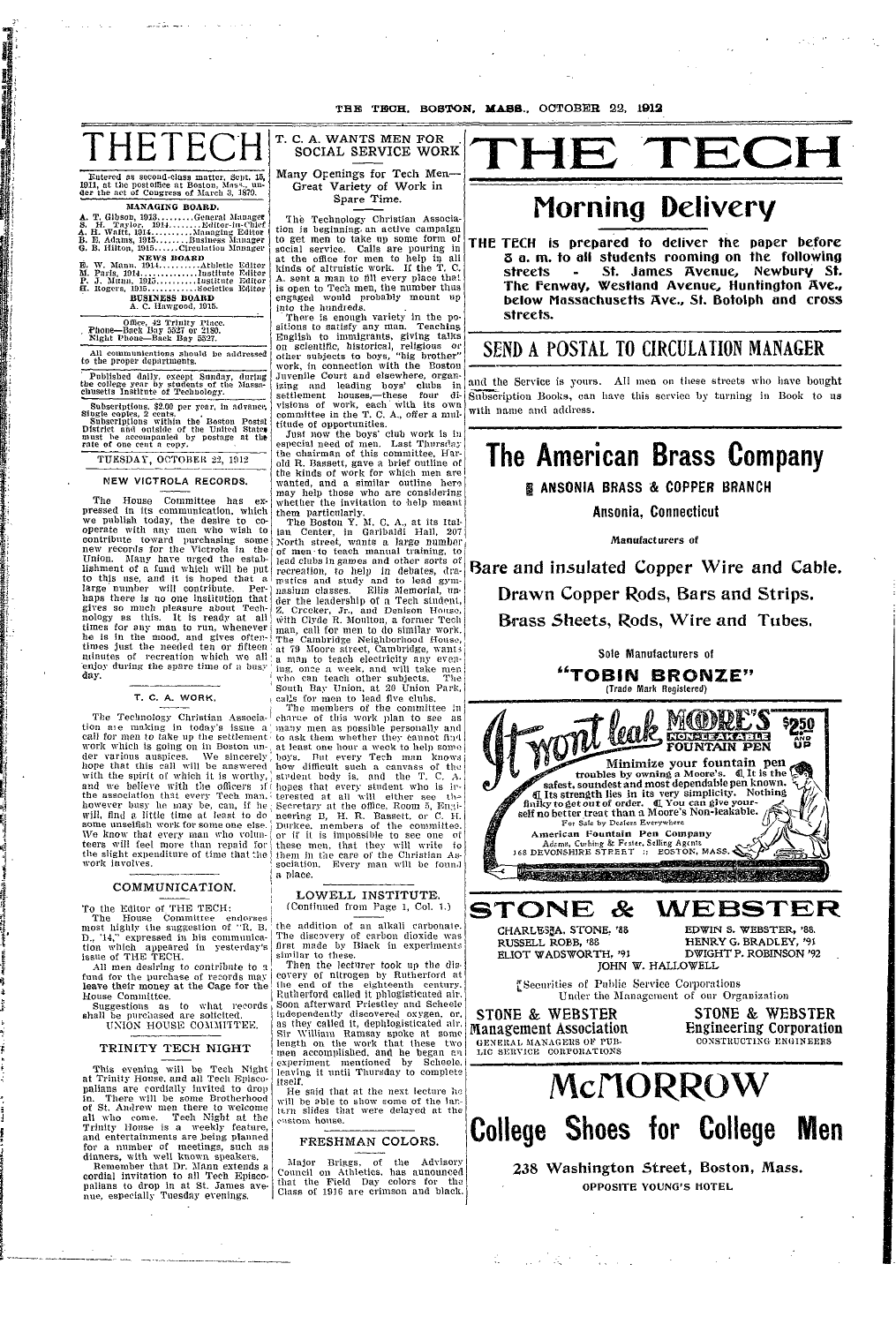THE TECH. BOSTON, MASS., OCTOBER 22, 1912

# HETE(

Eutered as second-class matter, Scpt. 15, 1911, at the postoffice at Boston, Mass., under the act of Congress of March 3, 1879. MANAGING BOARD.

## BUSINESS BOARD<br>A. C. Hawgood, 1915.

Office, 42 Trinity Place.<br>Phone—Back Bay 5527 or 2180.<br>Night Phone—Back Bay 5527.

All communications should be addressed<br>to the proper departments.

Published daily, except Sunday, during<br>the college year by students of the Massachusetts Institute of Technology.

Subscriptions. \$2.00 per year, in advance,<br>Single copies, 2 cents.<br>Subscriptions within the Boston Postal<br>District and ontside of the United States<br>must be accompanied by postage at the<br>rate of one cent a copy.

TUESDAY, OCTOBER 22, 1912

NEW VICTROLA RECORDS.

The House Committee has expressed in its communication, which<br>we publish today, the desire to co-<br>operate with any men who wish to contribute toward purchasing some<br>new records for the Victrola in the Union. Many have urged the establishment of a fund which will be put to this use, and it is hoped that large number will contribute. Perhaps there is no one institution that gives so much pleasure about Technology as this. It is ready at all times for any man to run, whenever he is in the mood, and gives often-<br>times just the needed ten or fifteen number of recreation which we all<br>enjoy during the spare time of a busy day.

T. C. A. WORK,

The Technology Christian Association are making in today's issue a work which is going on in Boston under various auspices. We sincerely hope that this call will be answered with the spirit of which it is worthy, and we believe with the officers of the association that every Tech man. however busy he may be, can, if he will, find a little time at least to do some unselfish work for some one else. We know that every man who volun-<br>teers will feel more than repaid for the slight expenditure of time that the work involves.

## COMMUNICATION.

To the Editor of THE TECH:<br>The House Committee endorses<br>most highly the suggestion of "R. B.<br>D., '14," expressed in his communication which appeared in yesterday's<br>issue of THE TECH.

All men desiring to contribute to a fund for the purchase of records may<br>leave their money at the Cage for the House Committee.

Suggestions as to what records shall be purchased are solicited. UNION HOUSE COMMITTEE.

## TRINITY TECH NIGHT

This evening will be Tech Night<br>at Trinity House, and all Tech Episcopalians are cordially invited to drop There will be some Brotherhood in. There will be some productive, of St. Andrew men there to welcome Trinity House is a weekly feature, and entertainments are being planned<br>for a number of meetings, such as dinners, with well known speakers.

Remember that Dr. Mann extends a cordial invitation to all Tech Episcopalians to drop in at St. James avenue, especially Tuesday evenings.

T. C. A. WANTS MEN FOR SOCIAL SERVICE WORK

Many Openings for Tech Men-Great Variety of Work in Spare Time.

The Technology Christian Association is beginning an active campaign to get men to take up some form of social service. Calls are pouring in<br>at the office for men to help in all<br>kinds of altruistic work. If the T.C.<br>A. sent a man to fill every place that is open to Tech men, the number thus engaged would probably mount up into the hundreds.

There is enough variety in the positions to satisfy any man. Teaching<br>English to immigrants, giving talks on scientific, historical, religious or<br>other subjects to boys, "big brother" other subjects to boys, work, in connection with the Boston Juvenile Court and elsewhere, organ-Juvenie Court and eisewhere, organizing and leading boys' clubs in<br>settlement houses,—these four divisions of work, each with its own<br>committee in the T. C. A., offer a multitude of opportunities.

Just now the boys' club work is in especial need of men. Last Thursday<br>the chairman of this committee, Harold R. Bassett, gave a brief outline of the kinds of work for which men are<br>wanted, and a similar outline here may help those who are considering whether the invitation to help meant<br>them particularly.<br>The Boston Y. M. C. A., at its Ital-

ian Center, in Garibaldi Hall, 207<br>North street, wants a large number of men to teach manual training, to lead clubs in games and other sorts of recreation, to help in debates, dramatics and study and to lead gymnasium classes. Ellis Memorial, unmasium classes. Ellis Memorial, un-<br>der the leadership of a Tech student,<br>Z. Crecker, Jr., and Denison House,<br>with Clyde R. Moulton, a former Tech man, call for men to do similar work.<br>The Cambridge Neighborhood House, at 79 Moore street, Cambridge, wants a man to teach electricity any even-<br>ing. once a week, and will take men who can teach other subjects. The South Bay Union, at 20 Union Park, calls for men to lead five clubs.

The members of the committee in charace of this work plan to see as many men as possible personally and to ask them whether they cannot find at least one hour a week to help some bays. But every Tech man knows<br>how difficult such a canvass of the<br>student body is, and the T. C. A. student body is, and the T. hopes that every student who is in-<br>terested at all will either see the Secretary at the office, Room 5, Engi neering B, H. R. Bassett, or C. H.<br>Durkee, members of the committee. or if it is impossible to see one of these men, that they will write to them in the care of the Christian Association. Every man will be found a place.

### LOWELL INSTITUTE. (Continued from Page 1, Col. 1.)

the addition of an alkali carbonate. The discovery of carbon dioxide was<br>first made by Black in experiments similar to these.

Then the lecturer took up the discovery of filtrogen by Rutherford at the end of the eighteenth century.<br>Rutherford called it phlogisticated air. Soon afterward Priestley and Scheele independently discovered oxygen, or, as they called it, dephlogisticated air. as they cannot it depends and the solution<br>length on the work that these two<br>length on the work that these two<br>men accomplished, and he began an<br>experiment mentioned by Scheele.<br>leaving it until Thursday to complete itself

He said that at the next lecture he will be able to show some of the lantern slides that were delayed at the enstom house.

## FRESHMAN COLORS.

Major Briggs, of the Advisory<br>Council on Athletics, has aunounced<br>that the Field Day colors for the<br>Class of 1916 are crimson and black.

HE TECI

## Morning Delivery

THE TECH is prepared to deliver the paper before 3 a.m. to all students rooming on the following St. James Avenue, Newbury St. streets The Fenway, Westland Avenue, Huntington Ave., below Massachusetts Ave., St. Botolph and cross streets.

## SEND A POSTAL TO CIRCULATION MANAGER

and the Service is yours. All men on these streets who have bought Subscription Books, can have this service by turning in Book to us with name and address.

## The American Brass Company

**B ANSONIA BRASS & COPPER BRANCH** 

Ansonia, Connecticut

Manufacturers of

Bare and insulated Copper Wire and Cable. Drawn Copper Rods, Bars and Strips. Brass Sheets, Rods, Wire and Tubes.



238 Washington Street, Boston, Mass. OPPOSITE YOUNG'S HOTEL

 $\frac{1}{2}$  ,  $\frac{1}{2}$  ,  $\frac{1}{2}$  ,  $\frac{1}{2}$ an<br>Talaman Sa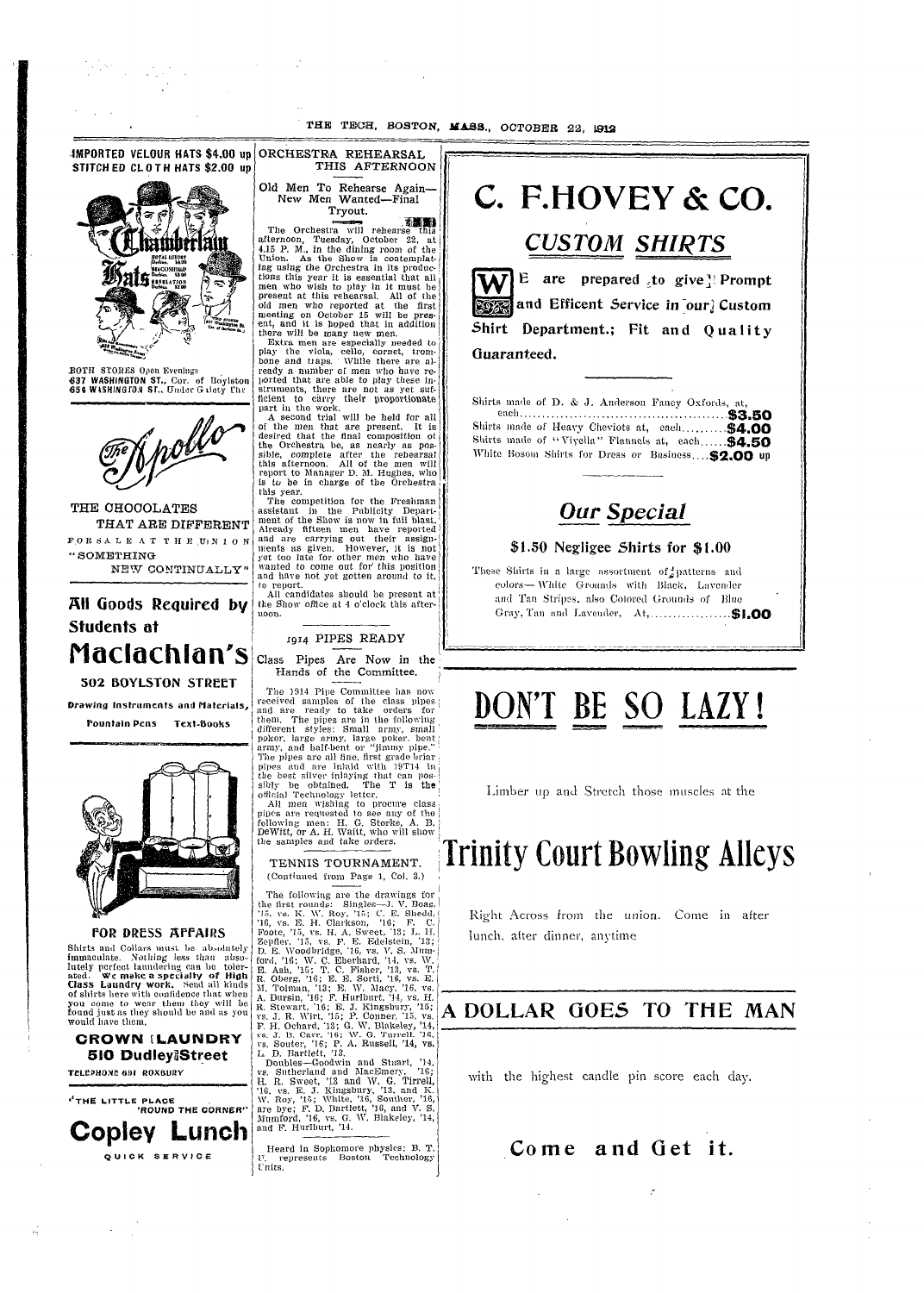il

If

i

i

i



**IMPORTED VELOUR HATS \$4.00** up

3BOTH S'TORES **Open** Evenings **637 WASHINGTON ST..** Cor. of Boylston 65 ¢ WISHING ro.u st., Under G diety **'lir**



I

i I i i

THE CHOCOLATES THAT ARE DIFFERENT **F.O** *It S* A **L** E **A** T **T** *It* **E UIN 1** *0* N *"* SOMETHING NEW CONTINUALLY"

**All** Goods Required **bV Students at Naclachlon's**

## **502 BOYLSTON STREET**

**Drawing Instruments and Materials,**

**Pountain Pens Text-Books**

-.



## FOR DRESS AFFAIRS

Shirts and Collars must be absolutely immaculate. Nothing less than abso-<br>lutely perfect laundering can be tolerated. We make a specialty of High<br>Class Laundry work. Send all kinds<br>of shirts here with confidence that when<br>you come to wear them they will be<br>found just as they should be and as you would have them.

**CROWN [LAUNDRY 510 DudleyfStreet**

**TiLePHON12** 691 **ROXBUIRY**

 $\mathcal{L}^{\text{max}}_{\text{max}}$  , where  $\mathcal{L}^{\text{max}}_{\text{max}}$ 

 $\tilde{W}$ 



ORCHESTRA REHEARSAL THIS AFTERNOON Old Men To Rehearse Again-New Men Wanted-Final

Tryout. The Orchestra will rehearse this afternoon, Tuesday, October 22, at

4.15 P. M., in the dining room of the Union. As the Show is contemplat-<br>ing using the Orchestra in its productions this year it is essential that all men who wish to play in it must be present at this rehearsal. All of the old men who reported at the first meeting on October 15 will be pres-ent, and it is hoped that in addition there will be many new men.<br>Extra men are especially needed to

play the viola, cello, cornet, trom-bone and tiaps. - While there are already a number of men who have re- ported that are able to play these instruments, there are not as yet sufficient to carry their proportionate part in the work.

A second trial will be held for all of the men that are present. It is desired that the final composition ot the Orchestra be, as nearly as pos-sible, complete after the rehearsal this afternoon. All of the men will report to Manager D. **MI.** Hughes, who is to be in charge of the Orchestra this year.

The competition for the Freshman assistant in the Publicity Depari. ment of the Show is now in full blast. Already fifteen men have reported and are carrying out their assignments as given. However, it is not yet too late for other men who have wanted to come out for this position and have not yet gotten around to it, to report.

All candidates should be present at' the Show office at 4 o'clock this afternoon. I

*1914* PIPES READY

Class Pipes Are Now in the Hands of the Committee.

The 1914 Pipe Committee has now received samples of the class pil)es and are ready to take orders for I them. The pipes are in the following<br>different styles: Small army, small<br>poker, large army, large poker, bent<br>army, and half-bent or "jimmy pipe." The pipes are all fine, first grade briar pipes and are inlaid with 19T14 in the best silver inlaying tlhat can possibly be obtained. The T is **the** official Technology letter.

All men wishing to procure class pipes are requested to see any of the following men: H. G. Storke, A. B.<br>DeWitt, or A. H. Waitt, who will show the samples and take orders.

TENNIS TOURNAMENT. (Continued from Page 1, Col. 3.)

The following are the drawings for the first rounds: Singles-J. V. Boas,<br>
'15, vs. K. W. Roy, '15; C. E. Shedd,<br>
'16, vs. E. H. Clarkson, '16; F. C.<br>
Foote, '15, vs. H. A. Sweet, 13; L. H.<br>
Zepfler, '15, vs. F. E. Edstein, '13; L.<br>
Zepfler, '15, vs. F. E. E E. Ash, '15; T. C. Fisher, '13, vs. T.<br>R. Oberg, '16; E. E. Sorti, '16, vs. E. M. Tolman, '13; E. W. Macy, '16, vs.<br>A. Dursin, '16; F. Hurlburt, '14, vs. H.<br>R. Stewart, '16; E. J. Kingsbury, '15;<br>vs. J. R. Wirt, '15; P. Conner, '15, vs. F. H. Ochard, '13; G. W. Blakeley, '14, vs. J. B. Carr. '16; W. G. Turrell. '16, vs. Souter, '16; P. A. Russell, '14, vs. L, D. Bartlett, '13.

Doubles-Goodwin and Stuart, '14, vs. Sutherland and MacEmery, '16; H. R. Sweet, '13 and W. G. Tirrell,<br>'16, vs. E. J. Kingsbury, '13, and K.<br>W. Roy, '15; White, '16, Souther, '16,<br>are bye; F. D. Bartlett, '16, and V. S. Mumford, '16, vs. G. W. Blakeley, '14,<br>and F. Hurlburt, '14.

Heard in Sophomore physics: B. T. U. represents Boston Technology U nits.



Shirt Department.; Fit and Ouality Guaranteed.

Slhirts imade of 1). & J. Anderson **Fancy** Oxfords, at, **eac}, ..............................................** each.~~~~\$3.50 **\$ 3 .5 0** Shirts made of Heavy Cheviots at, each........... \$4.00 Shirts made of "Viyella" Flannels at, each...... \$4.50 White Bosom Shirts for Dress or Business.... \$2.00 up



## **\$1.50** Negligee Shirts for \$1.00

These Shirts in a large assortment of patterns and colors- White Grounds with Black, Lavender and Tan Stripes, also Colored Grounds of Blue Gray, 'Tan and Lavender, At ................... \$1.00  $\mathbf{1}$ 

# DON'T BE SO LAZY **!**

'I

Limber up and Stretch those muscles at the

## Trinity Court Bowling Alleys

Right Across from the union. Come in after lunch, after dinner, anytime

## **A DOLLAR** 0OES **TO THE MAN**

with the highest candle **pin** score each day.

**Come and Get it.**

 $\boldsymbol{\zeta}^{\star}$ 

 $\Delta \phi = 0.01$  and  $\Delta \phi = 0.01$ 

 $\sim 10^{11}$  km s  $^{-1}$